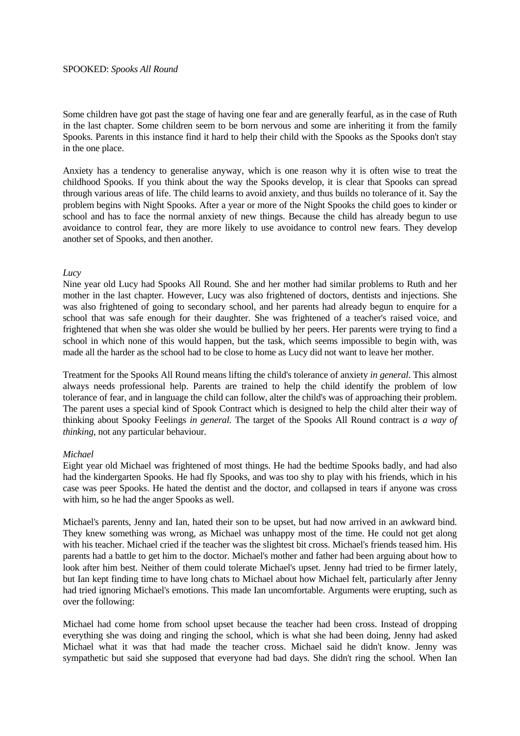#### SPOOKED: *Spooks All Round*

Some children have got past the stage of having one fear and are generally fearful, as in the case of Ruth in the last chapter. Some children seem to be born nervous and some are inheriting it from the family Spooks. Parents in this instance find it hard to help their child with the Spooks as the Spooks don't stay in the one place.

Anxiety has a tendency to generalise anyway, which is one reason why it is often wise to treat the childhood Spooks. If you think about the way the Spooks develop, it is clear that Spooks can spread through various areas of life. The child learns to avoid anxiety, and thus builds no tolerance of it. Say the problem begins with Night Spooks. After a year or more of the Night Spooks the child goes to kinder or school and has to face the normal anxiety of new things. Because the child has already begun to use avoidance to control fear, they are more likely to use avoidance to control new fears. They develop another set of Spooks, and then another.

### *Lucy*

Nine year old Lucy had Spooks All Round. She and her mother had similar problems to Ruth and her mother in the last chapter. However, Lucy was also frightened of doctors, dentists and injections. She was also frightened of going to secondary school, and her parents had already begun to enquire for a school that was safe enough for their daughter. She was frightened of a teacher's raised voice, and frightened that when she was older she would be bullied by her peers. Her parents were trying to find a school in which none of this would happen, but the task, which seems impossible to begin with, was made all the harder as the school had to be close to home as Lucy did not want to leave her mother.

Treatment for the Spooks All Round means lifting the child's tolerance of anxiety *in general*. This almost always needs professional help. Parents are trained to help the child identify the problem of low tolerance of fear, and in language the child can follow, alter the child's was of approaching their problem. The parent uses a special kind of Spook Contract which is designed to help the child alter their way of thinking about Spooky Feelings *in general.* The target of the Spooks All Round contract is *a way of thinking*, not any particular behaviour.

### *Michael*

Eight year old Michael was frightened of most things. He had the bedtime Spooks badly, and had also had the kindergarten Spooks. He had fly Spooks, and was too shy to play with his friends, which in his case was peer Spooks. He hated the dentist and the doctor, and collapsed in tears if anyone was cross with him, so he had the anger Spooks as well.

Michael's parents, Jenny and Ian, hated their son to be upset, but had now arrived in an awkward bind. They knew something was wrong, as Michael was unhappy most of the time. He could not get along with his teacher. Michael cried if the teacher was the slightest bit cross. Michael's friends teased him. His parents had a battle to get him to the doctor. Michael's mother and father had been arguing about how to look after him best. Neither of them could tolerate Michael's upset. Jenny had tried to be firmer lately, but Ian kept finding time to have long chats to Michael about how Michael felt, particularly after Jenny had tried ignoring Michael's emotions. This made Ian uncomfortable. Arguments were erupting, such as over the following:

Michael had come home from school upset because the teacher had been cross. Instead of dropping everything she was doing and ringing the school, which is what she had been doing, Jenny had asked Michael what it was that had made the teacher cross. Michael said he didn't know. Jenny was sympathetic but said she supposed that everyone had bad days. She didn't ring the school. When Ian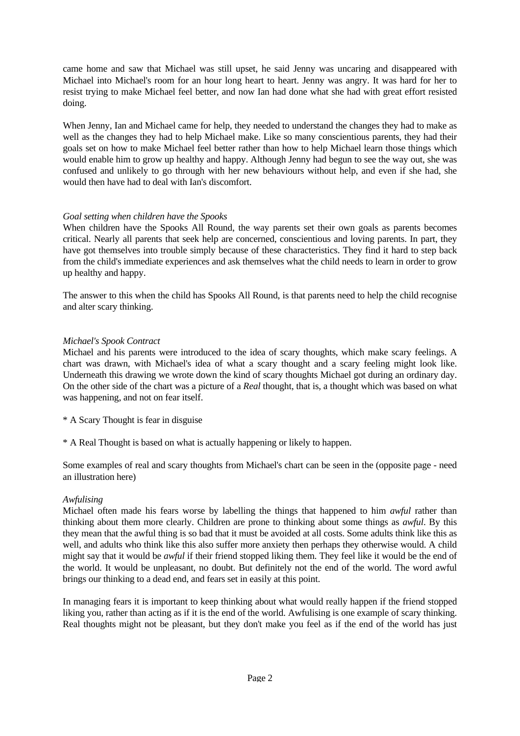came home and saw that Michael was still upset, he said Jenny was uncaring and disappeared with Michael into Michael's room for an hour long heart to heart. Jenny was angry. It was hard for her to resist trying to make Michael feel better, and now Ian had done what she had with great effort resisted doing.

When Jenny, Ian and Michael came for help, they needed to understand the changes they had to make as well as the changes they had to help Michael make. Like so many conscientious parents, they had their goals set on how to make Michael feel better rather than how to help Michael learn those things which would enable him to grow up healthy and happy. Although Jenny had begun to see the way out, she was confused and unlikely to go through with her new behaviours without help, and even if she had, she would then have had to deal with Ian's discomfort.

# *Goal setting when children have the Spooks*

When children have the Spooks All Round, the way parents set their own goals as parents becomes critical. Nearly all parents that seek help are concerned, conscientious and loving parents. In part, they have got themselves into trouble simply because of these characteristics. They find it hard to step back from the child's immediate experiences and ask themselves what the child needs to learn in order to grow up healthy and happy.

The answer to this when the child has Spooks All Round, is that parents need to help the child recognise and alter scary thinking.

# *Michael's Spook Contract*

Michael and his parents were introduced to the idea of scary thoughts, which make scary feelings. A chart was drawn, with Michael's idea of what a scary thought and a scary feeling might look like. Underneath this drawing we wrote down the kind of scary thoughts Michael got during an ordinary day. On the other side of the chart was a picture of a *Real* thought, that is, a thought which was based on what was happening, and not on fear itself.

\* A Scary Thought is fear in disguise

\* A Real Thought is based on what is actually happening or likely to happen.

Some examples of real and scary thoughts from Michael's chart can be seen in the (opposite page - need an illustration here)

## *Awfulising*

Michael often made his fears worse by labelling the things that happened to him *awful* rather than thinking about them more clearly. Children are prone to thinking about some things as *awful*. By this they mean that the awful thing is so bad that it must be avoided at all costs. Some adults think like this as well, and adults who think like this also suffer more anxiety then perhaps they otherwise would. A child might say that it would be *awful* if their friend stopped liking them. They feel like it would be the end of the world. It would be unpleasant, no doubt. But definitely not the end of the world. The word awful brings our thinking to a dead end, and fears set in easily at this point.

In managing fears it is important to keep thinking about what would really happen if the friend stopped liking you, rather than acting as if it is the end of the world. Awfulising is one example of scary thinking. Real thoughts might not be pleasant, but they don't make you feel as if the end of the world has just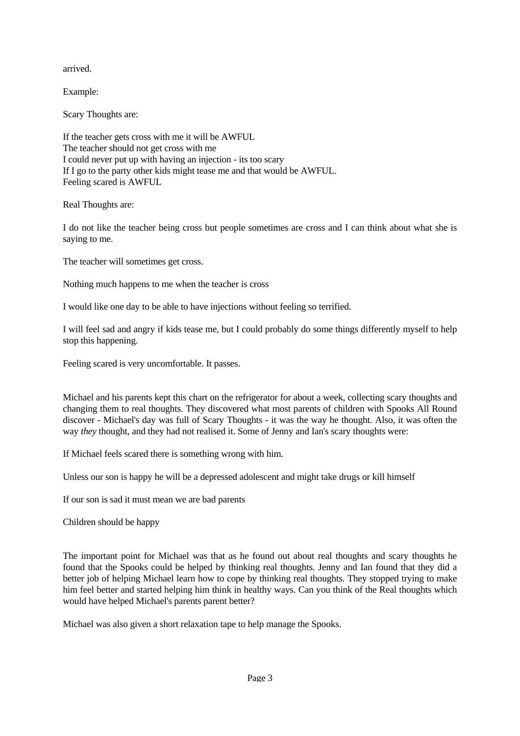arrived.

Example:

Scary Thoughts are:

If the teacher gets cross with me it will be AWFUL The teacher should not get cross with me I could never put up with having an injection - its too scary If I go to the party other kids might tease me and that would be AWFUL. Feeling scared is AWFUL

Real Thoughts are:

I do not like the teacher being cross but people sometimes are cross and I can think about what she is saying to me.

The teacher will sometimes get cross.

Nothing much happens to me when the teacher is cross

I would like one day to be able to have injections without feeling so terrified.

I will feel sad and angry if kids tease me, but I could probably do some things differently myself to help stop this happening.

Feeling scared is very uncomfortable. It passes.

Michael and his parents kept this chart on the refrigerator for about a week, collecting scary thoughts and changing them to real thoughts. They discovered what most parents of children with Spooks All Round discover - Michael's day was full of Scary Thoughts - it was the way he thought. Also, it was often the way *they* thought, and they had not realised it. Some of Jenny and Ian's scary thoughts were:

If Michael feels scared there is something wrong with him.

Unless our son is happy he will be a depressed adolescent and might take drugs or kill himself

If our son is sad it must mean we are bad parents

Children should be happy

The important point for Michael was that as he found out about real thoughts and scary thoughts he found that the Spooks could be helped by thinking real thoughts. Jenny and Ian found that they did a better job of helping Michael learn how to cope by thinking real thoughts. They stopped trying to make him feel better and started helping him think in healthy ways. Can you think of the Real thoughts which would have helped Michael's parents parent better?

Michael was also given a short relaxation tape to help manage the Spooks.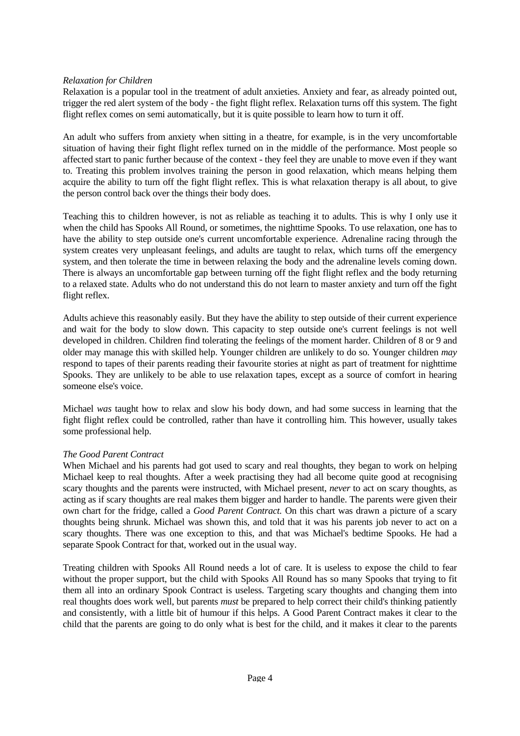## *Relaxation for Children*

Relaxation is a popular tool in the treatment of adult anxieties. Anxiety and fear, as already pointed out, trigger the red alert system of the body - the fight flight reflex. Relaxation turns off this system. The fight flight reflex comes on semi automatically, but it is quite possible to learn how to turn it off.

An adult who suffers from anxiety when sitting in a theatre, for example, is in the very uncomfortable situation of having their fight flight reflex turned on in the middle of the performance. Most people so affected start to panic further because of the context - they feel they are unable to move even if they want to. Treating this problem involves training the person in good relaxation, which means helping them acquire the ability to turn off the fight flight reflex. This is what relaxation therapy is all about, to give the person control back over the things their body does.

Teaching this to children however, is not as reliable as teaching it to adults. This is why I only use it when the child has Spooks All Round, or sometimes, the nighttime Spooks. To use relaxation, one has to have the ability to step outside one's current uncomfortable experience. Adrenaline racing through the system creates very unpleasant feelings, and adults are taught to relax, which turns off the emergency system, and then tolerate the time in between relaxing the body and the adrenaline levels coming down. There is always an uncomfortable gap between turning off the fight flight reflex and the body returning to a relaxed state. Adults who do not understand this do not learn to master anxiety and turn off the fight flight reflex.

Adults achieve this reasonably easily. But they have the ability to step outside of their current experience and wait for the body to slow down. This capacity to step outside one's current feelings is not well developed in children. Children find tolerating the feelings of the moment harder. Children of 8 or 9 and older may manage this with skilled help. Younger children are unlikely to do so. Younger children *may* respond to tapes of their parents reading their favourite stories at night as part of treatment for nighttime Spooks. They are unlikely to be able to use relaxation tapes, except as a source of comfort in hearing someone else's voice.

Michael *was* taught how to relax and slow his body down, and had some success in learning that the fight flight reflex could be controlled, rather than have it controlling him. This however, usually takes some professional help.

## *The Good Parent Contract*

When Michael and his parents had got used to scary and real thoughts, they began to work on helping Michael keep to real thoughts. After a week practising they had all become quite good at recognising scary thoughts and the parents were instructed, with Michael present, *never* to act on scary thoughts, as acting as if scary thoughts are real makes them bigger and harder to handle. The parents were given their own chart for the fridge, called a *Good Parent Contract.* On this chart was drawn a picture of a scary thoughts being shrunk. Michael was shown this, and told that it was his parents job never to act on a scary thoughts. There was one exception to this, and that was Michael's bedtime Spooks. He had a separate Spook Contract for that, worked out in the usual way.

Treating children with Spooks All Round needs a lot of care. It is useless to expose the child to fear without the proper support, but the child with Spooks All Round has so many Spooks that trying to fit them all into an ordinary Spook Contract is useless. Targeting scary thoughts and changing them into real thoughts does work well, but parents *must* be prepared to help correct their child's thinking patiently and consistently, with a little bit of humour if this helps. A Good Parent Contract makes it clear to the child that the parents are going to do only what is best for the child, and it makes it clear to the parents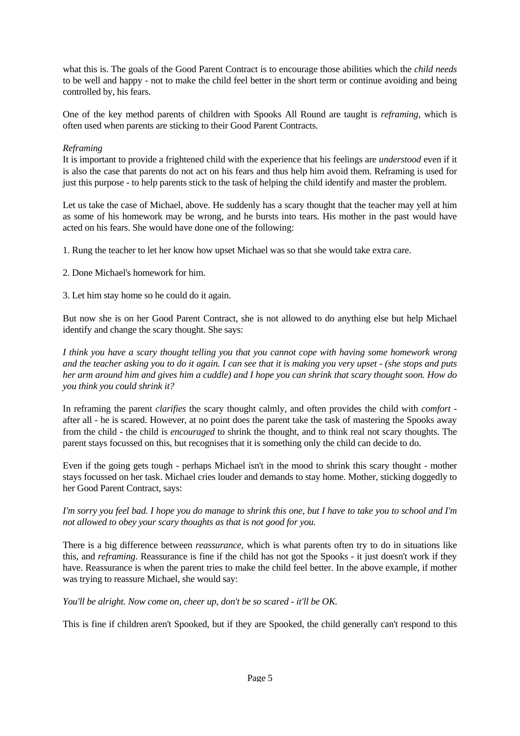what this is. The goals of the Good Parent Contract is to encourage those abilities which the *child needs* to be well and happy - not to make the child feel better in the short term or continue avoiding and being controlled by, his fears.

One of the key method parents of children with Spooks All Round are taught is *reframing*, which is often used when parents are sticking to their Good Parent Contracts.

# *Reframing*

It is important to provide a frightened child with the experience that his feelings are *understood* even if it is also the case that parents do not act on his fears and thus help him avoid them. Reframing is used for just this purpose - to help parents stick to the task of helping the child identify and master the problem.

Let us take the case of Michael, above. He suddenly has a scary thought that the teacher may yell at him as some of his homework may be wrong, and he bursts into tears. His mother in the past would have acted on his fears. She would have done one of the following:

1. Rung the teacher to let her know how upset Michael was so that she would take extra care.

2. Done Michael's homework for him.

3. Let him stay home so he could do it again.

But now she is on her Good Parent Contract, she is not allowed to do anything else but help Michael identify and change the scary thought. She says:

*I think you have a scary thought telling you that you cannot cope with having some homework wrong and the teacher asking you to do it again. I can see that it is making you very upset - (she stops and puts her arm around him and gives him a cuddle) and I hope you can shrink that scary thought soon. How do you think you could shrink it?* 

In reframing the parent *clarifies* the scary thought calmly, and often provides the child with *comfort* after all - he is scared. However, at no point does the parent take the task of mastering the Spooks away from the child - the child is *encouraged* to shrink the thought, and to think real not scary thoughts. The parent stays focussed on this, but recognises that it is something only the child can decide to do.

Even if the going gets tough - perhaps Michael isn't in the mood to shrink this scary thought - mother stays focussed on her task. Michael cries louder and demands to stay home. Mother, sticking doggedly to her Good Parent Contract, says:

# *I'm sorry you feel bad. I hope you do manage to shrink this one, but I have to take you to school and I'm not allowed to obey your scary thoughts as that is not good for you.*

There is a big difference between *reassurance,* which is what parents often try to do in situations like this, and *reframing*. Reassurance is fine if the child has not got the Spooks - it just doesn't work if they have. Reassurance is when the parent tries to make the child feel better. In the above example, if mother was trying to reassure Michael, she would say:

*You'll be alright. Now come on, cheer up, don't be so scared - it'll be OK.*

This is fine if children aren't Spooked, but if they are Spooked, the child generally can't respond to this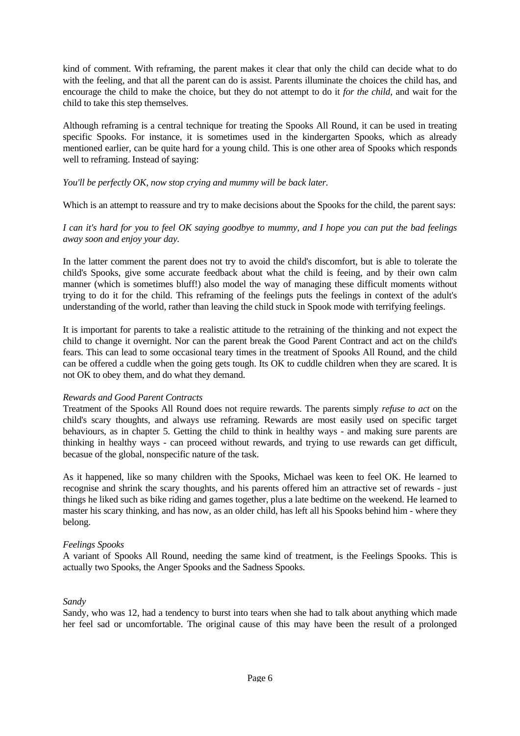kind of comment. With reframing, the parent makes it clear that only the child can decide what to do with the feeling, and that all the parent can do is assist. Parents illuminate the choices the child has, and encourage the child to make the choice, but they do not attempt to do it *for the child,* and wait for the child to take this step themselves.

Although reframing is a central technique for treating the Spooks All Round, it can be used in treating specific Spooks. For instance, it is sometimes used in the kindergarten Spooks, which as already mentioned earlier, can be quite hard for a young child. This is one other area of Spooks which responds well to reframing. Instead of saying:

## *You'll be perfectly OK, now stop crying and mummy will be back later.*

Which is an attempt to reassure and try to make decisions about the Spooks for the child, the parent says:

# *I can it's hard for you to feel OK saying goodbye to mummy, and I hope you can put the bad feelings away soon and enjoy your day.*

In the latter comment the parent does not try to avoid the child's discomfort, but is able to tolerate the child's Spooks, give some accurate feedback about what the child is feeing, and by their own calm manner (which is sometimes bluff!) also model the way of managing these difficult moments without trying to do it for the child. This reframing of the feelings puts the feelings in context of the adult's understanding of the world, rather than leaving the child stuck in Spook mode with terrifying feelings.

It is important for parents to take a realistic attitude to the retraining of the thinking and not expect the child to change it overnight. Nor can the parent break the Good Parent Contract and act on the child's fears. This can lead to some occasional teary times in the treatment of Spooks All Round, and the child can be offered a cuddle when the going gets tough. Its OK to cuddle children when they are scared. It is not OK to obey them, and do what they demand.

## *Rewards and Good Parent Contracts*

Treatment of the Spooks All Round does not require rewards. The parents simply *refuse to act* on the child's scary thoughts, and always use reframing. Rewards are most easily used on specific target behaviours, as in chapter 5. Getting the child to think in healthy ways - and making sure parents are thinking in healthy ways - can proceed without rewards, and trying to use rewards can get difficult, becasue of the global, nonspecific nature of the task.

As it happened, like so many children with the Spooks, Michael was keen to feel OK. He learned to recognise and shrink the scary thoughts, and his parents offered him an attractive set of rewards - just things he liked such as bike riding and games together, plus a late bedtime on the weekend. He learned to master his scary thinking, and has now, as an older child, has left all his Spooks behind him - where they belong.

## *Feelings Spooks*

A variant of Spooks All Round, needing the same kind of treatment, is the Feelings Spooks. This is actually two Spooks, the Anger Spooks and the Sadness Spooks.

## *Sandy*

Sandy, who was 12, had a tendency to burst into tears when she had to talk about anything which made her feel sad or uncomfortable. The original cause of this may have been the result of a prolonged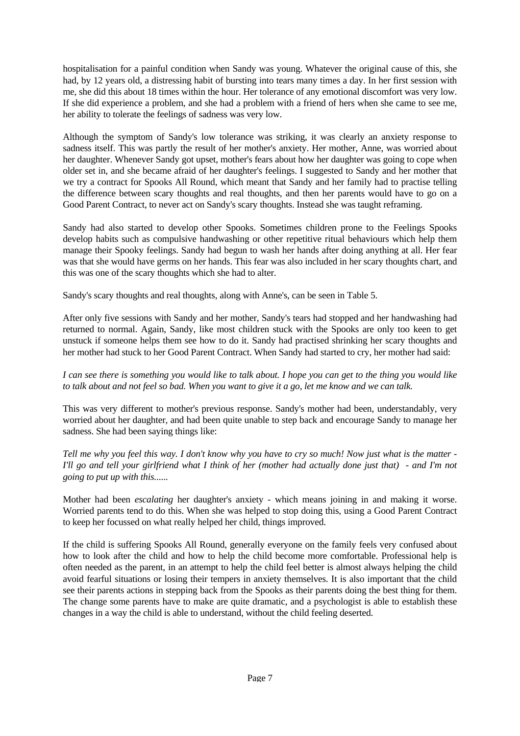hospitalisation for a painful condition when Sandy was young. Whatever the original cause of this, she had, by 12 years old, a distressing habit of bursting into tears many times a day. In her first session with me, she did this about 18 times within the hour. Her tolerance of any emotional discomfort was very low. If she did experience a problem, and she had a problem with a friend of hers when she came to see me, her ability to tolerate the feelings of sadness was very low.

Although the symptom of Sandy's low tolerance was striking, it was clearly an anxiety response to sadness itself. This was partly the result of her mother's anxiety. Her mother, Anne, was worried about her daughter. Whenever Sandy got upset, mother's fears about how her daughter was going to cope when older set in, and she became afraid of her daughter's feelings. I suggested to Sandy and her mother that we try a contract for Spooks All Round, which meant that Sandy and her family had to practise telling the difference between scary thoughts and real thoughts, and then her parents would have to go on a Good Parent Contract, to never act on Sandy's scary thoughts. Instead she was taught reframing.

Sandy had also started to develop other Spooks. Sometimes children prone to the Feelings Spooks develop habits such as compulsive handwashing or other repetitive ritual behaviours which help them manage their Spooky feelings. Sandy had begun to wash her hands after doing anything at all. Her fear was that she would have germs on her hands. This fear was also included in her scary thoughts chart, and this was one of the scary thoughts which she had to alter.

Sandy's scary thoughts and real thoughts, along with Anne's, can be seen in Table 5.

After only five sessions with Sandy and her mother, Sandy's tears had stopped and her handwashing had returned to normal. Again, Sandy, like most children stuck with the Spooks are only too keen to get unstuck if someone helps them see how to do it. Sandy had practised shrinking her scary thoughts and her mother had stuck to her Good Parent Contract. When Sandy had started to cry, her mother had said:

*I can see there is something you would like to talk about. I hope you can get to the thing you would like to talk about and not feel so bad. When you want to give it a go, let me know and we can talk.*

This was very different to mother's previous response. Sandy's mother had been, understandably, very worried about her daughter, and had been quite unable to step back and encourage Sandy to manage her sadness. She had been saying things like:

*Tell me why you feel this way. I don't know why you have to cry so much! Now just what is the matter - I'll go and tell your girlfriend what I think of her (mother had actually done just that) - and I'm not going to put up with this.*.....

Mother had been *escalating* her daughter's anxiety - which means joining in and making it worse. Worried parents tend to do this. When she was helped to stop doing this, using a Good Parent Contract to keep her focussed on what really helped her child, things improved.

If the child is suffering Spooks All Round, generally everyone on the family feels very confused about how to look after the child and how to help the child become more comfortable. Professional help is often needed as the parent, in an attempt to help the child feel better is almost always helping the child avoid fearful situations or losing their tempers in anxiety themselves. It is also important that the child see their parents actions in stepping back from the Spooks as their parents doing the best thing for them. The change some parents have to make are quite dramatic, and a psychologist is able to establish these changes in a way the child is able to understand, without the child feeling deserted.